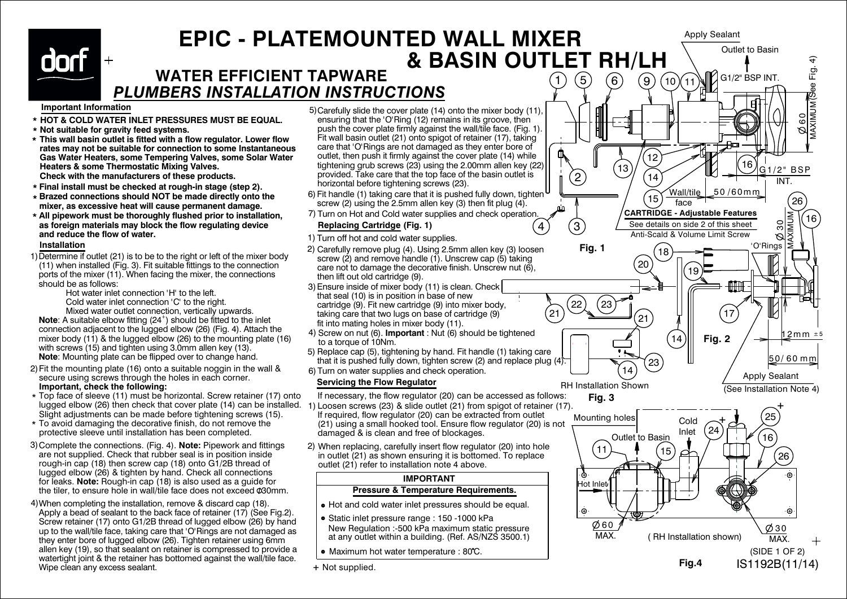